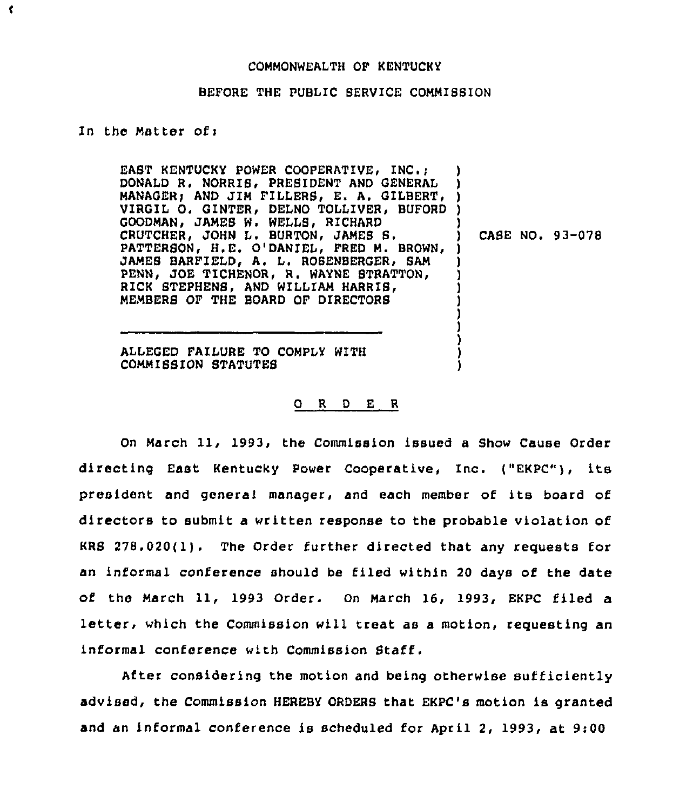## COMMONWEALTH OF KENTUCKY

## BEFORE THE PUBLIC SERVICE COMMISSION

## In the Matter of:

¢

EAST KENTUCKY POWER COOPERATIVE, INC.: DONALD R. NORRIS. PRESIDENT AND GENERAL DONALD R. NORRIS, PRESIDENT AND GENERAL<br>MANAGER, AND JIM FILLERS, E. A. GILBERT, ) VIRGIL O. GINTER, DELNO TOLLIVER, BUFORD ) GOODMAN> JAMES W. WELLS, RICHARD CRUTCHER, JOHN L. BURTON, JAMES S. PATTERSON, H.E. O'DANIEL, FRED M. BROWN, ) JAMES BARFIELD, A. L. ROSENBERGER, SAM PENN, JOE TICHENOR, R. WAYNE STRATTON, RICK STEPHENS, AND WILLIAM HARRIS, MEMBERB OF THE BOARD OF DIRECTORB ) ) ) ) ) ) )

) CASE NO. 93-078

) ) ) ) )

ALLEGED FAIIURE TO COMPLY WITH COMMISSION STATUTES

## 0 <sup>R</sup> 0 E <sup>R</sup>

On March 11, 1993, the Commission issued a Show Cause Order directing East Kentucky Power Cooperative, Inc. ("EKPC"), its president and general manager, and each member of its board of directors to submit a written response to the probable violation of KRS 278.020(1). The Order further directed that any requests for an informal conference should be filed within 20 days of the date of the March 11, 1993 Order. On March 16, 1993, EKPC filed a letter, which the Commission will treat as a motion, requesting an informal conference with Commission Staff.

After considering the motion and being otherwise sufficiently advised, the Commission HEREBY ORDERS that EKPC's motion is granted and an informal conference is scheduled for April 2, 1993, at 9:00